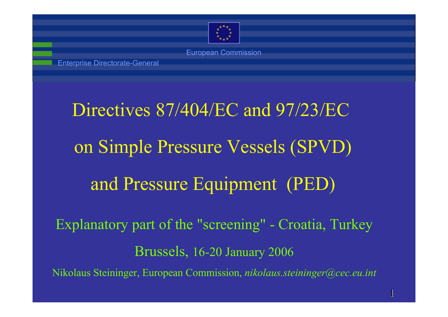

Enterprise Directorate-General

# Directives 87/404/EC and 97/23/EC on Simple Pressure Vessels (SPVD) and Pressure Equipment (PED)

Explanatory part of the "screening" - Croatia, Turkey Brussels, 16-20 January 2006 Nikolaus Steininger, European Commission, *nikolaus.steininger@cec.eu.int*

1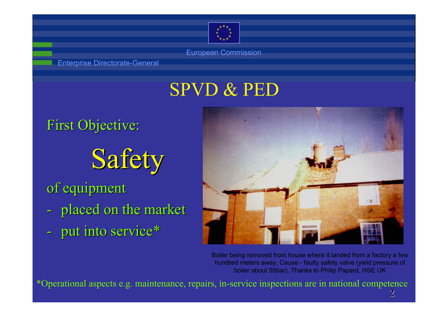

Enterprise Directorate-General

## SPVD & PED

**First Objective:** 

# Safety

of equipment

- placed on the market
- put into service\*



Boiler being removed from house where it landed from a factory a few hundred meters away. Cause - faulty safety valve (yield pressure of boiler about 55bar), Thanks to Philip Papard, HSE UK

ာ Operational aspects e.g. maintenance, repairs, in-service inspections are in national competence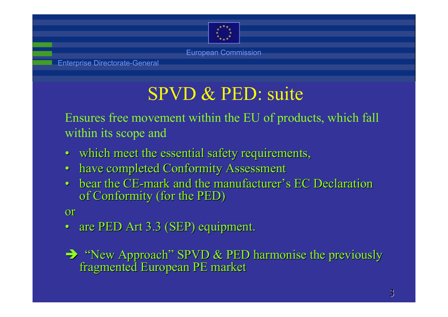

## SPVD & PED: suite

Ensures free movement within the EU of products, which fall within its scope and

- $\bullet$ which meet the essential safety requirements,
- $\bullet$ have completed Conformity Assessment
- •• bear the CE-mark and the manufacturer's EC Declaration of Conformity (for the PED)

### or

•are PED Art 3.3 (SEP) equipment.

 $\rightarrow$  "New Approach" SPVD & PED harmonise the previously fragmented European PE market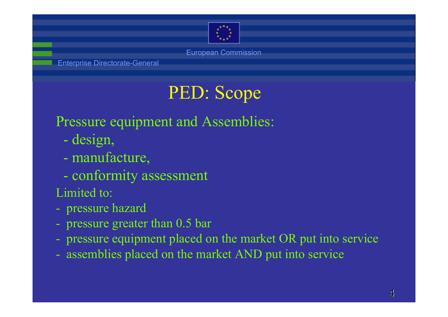

## PED: Scope

### Pressure equipment and Assemblies:

- design,
- manufacture,
- conformity assessment
- Limited to:
- pressure hazard
- pressure greater than 0.5 bar
- pressure equipment placed on the market OR put into service
- assemblies placed on the market AND put into service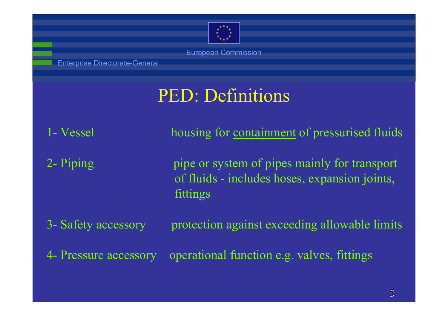

Enterprise Directorate-General

## PED: Definitions

1- Vessel housing for containment of pressurised fluids 2- Piping pipe or system of pipes mainly for transport of fluids - includes hoses, expansion joints, fittings 3- Safety accessory protection against exceeding allowable limits 4- Pressure accessory operational function e.g. valves, fittings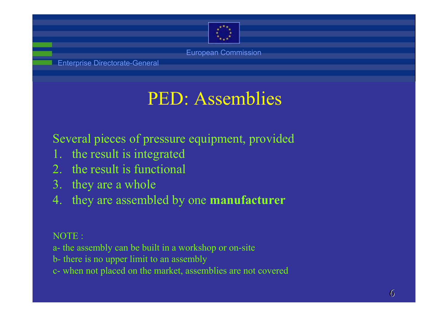

Enterprise Directorate-General

## PED: Assemblies

Several pieces of pressure equipment, provided

- the result is integrated
- 2. the result is functional
- 3. they are a whole
- 4. they are assembled by one **manufacturer**

NOTE :

- a- the assembly can be built in a workshop or on-site
- b- there is no upper limit to an assembly
- c- when not placed on the market, assemblies are not covered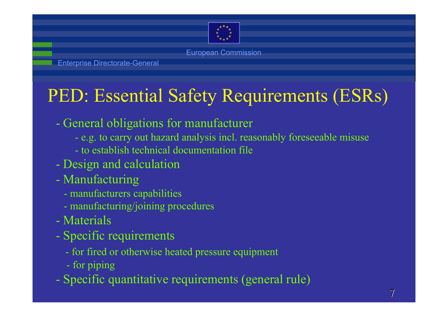

## PED: Essential Safety Requirements (ESRs)

- General obligations for manufacturer
	- e.g. to carry out hazard analysis incl. reasonably foreseeable misuse
	- to establish technical documentation file
- Design and calculation
- Manufacturing
	- manufacturers capabilities
	- manufacturing/joining procedures
- Materials
- Specific requirements
	- for fired or otherwise heated pressure equipment
	- for piping
- Specific quantitative requirements (general rule)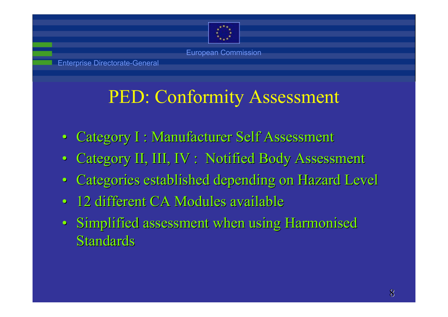

Enterprise Directorate-General

## PED: Conformity Assessment

- $\bullet$ Category I : Manufacturer Self Assessment
- $\bullet$ Category II, III, IV : Notified Body Assessment
- •Categories established depending on Hazard Level
- •• 12 different CA Modules available
- Simplified assessment when using Harmonised Standards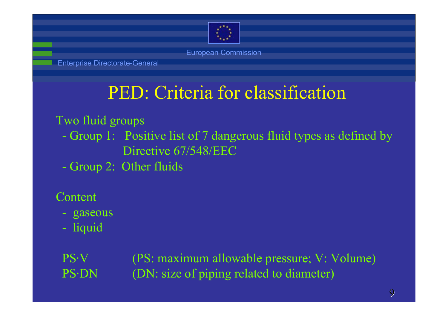

Enterprise Directorate-General

## PED: Criteria for classification

Two fluid groups

- Group 1: Positive list of 7 dangerous fluid types as defined by Directive 67/548/EEC
- Group 2: Other fluids

Content

- gaseous
- liquid

PS·V (PS: maximum allowable pressure; V: Volume) PS·DN (DN: size of piping related to diameter)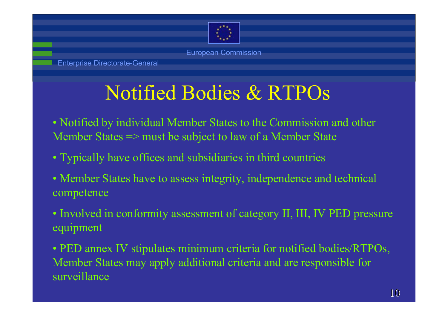

Enterprise Directorate-General

## Notified Bodies & RTPOs

- Notified by individual Member States to the Commission and other Member States => must be subject to law of a Member State
- Typically have offices and subsidiaries in third countries
- Member States have to assess integrity, independence and technical competence
- Involved in conformity assessment of category II, III, IV PED pressure equipment
- PED annex IV stipulates minimum criteria for notified bodies/RTPOs, Member States may apply additional criteria and are responsible for surveillance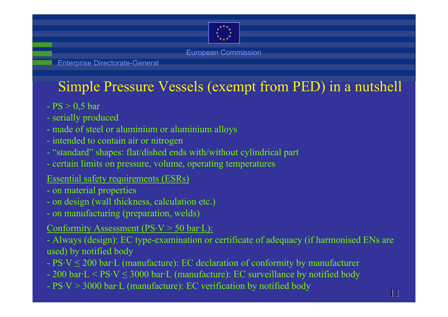

Enterprise Directorate-General

### Simple Pressure Vessels (exempt from PED) in a nutshell

- PS > 0,5 bar
- serially produced
- made of steel or aluminium or aluminium alloys
- intended to contain air or nitrogen
- "standard" shapes: flat/dished ends with/without cylindrical part
- certain limits on pressure, volume, operating temperatures
- Essential safety requirements (ESRs)
- on material properties
- on design (wall thickness, calculation etc.)
- on manufacturing (preparation, welds)
- Conformity Assessment ( $PS-V > 50$  bar $\cdot L$ ):
- Always (design): EC type-examination or certificate of adequacy (if harmonised ENs are used) by notified body
- $PSV \leq 200$  bar $\cdot L$  (manufacture): EC declaration of conformity by manufacturer
- 200 bar $\text{-}L \leq P S \cdot V \leq 3000$  bar $\text{-}L$  (manufacture): EC surveillance by notified body
- $PSV > 3000$  bar $\cdot$ L (manufacture): EC verification by notified body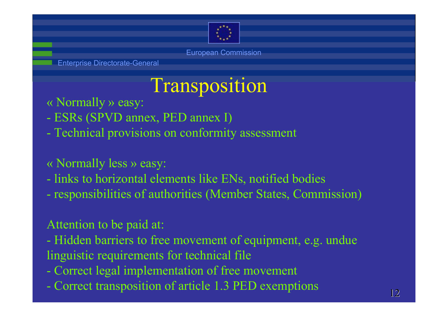

Enterprise Directorate-General

## Transposition

- « Normally » easy:
- -ESRs (SPVD annex, PED annex I)
- $\mathcal{L}_{\mathcal{A}}$ Technical provisions on conformity assessment
- « Normally less » easy:
- $\mathcal{L}_{\mathcal{A}}$  links to horizontal elements like ENs, notified bodies  $\mathcal{L}_{\mathcal{A}}$ responsibilities of authorities (Member States, Commission)
- Attention to be paid at:
- $\mathcal{L}_{\mathcal{A}}$  Hidden barriers to free movement of equipment, e.g. undue linguistic requirements for technical file
- $\mathcal{L}_{\mathcal{A}}$ Correct legal implementation of free movement
- $\mathcal{L}_{\mathcal{A}}$ Correct transposition of article 1.3 PED exemptions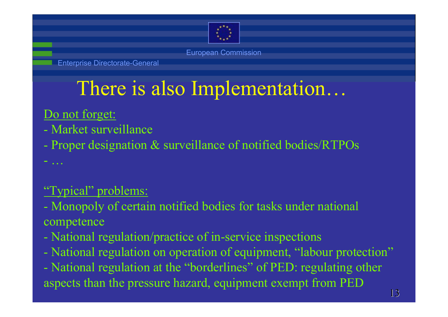

Enterprise Directorate-General

## There is also Implementation…

### Do not forget:

- Market surveillance
- Proper designation & surveillance of notified bodies/RTPOs
- …

### "Typical" problems:

- Monopoly of certain notified bodies for tasks under national competence
- National regulation/practice of in-service inspections
- National regulation on operation of equipment, "labour protection"
- National regulation at the "borderlines" of PED: regulating other aspects than the pressure hazard, equipment exempt from PED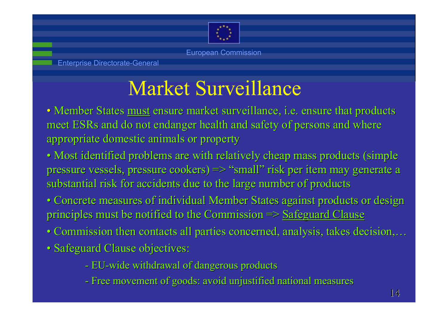

## Market Surveillance

- Member States <u>must</u> ensure market surveillance, i.e. ensure that products meet ESRs and do not endanger health and safety of persons and where appropriate domestic animals or property
- Most identified problems are with relatively cheap mass products (simple pressure vessels, pressure cookers)  $\Rightarrow$  "small" risk per item may generate a substantial risk for accidents due to the large number of products
- Concrete measures of individual Member States against products or design principles must be notified to the Commission  $\Rightarrow$  Safeguard Clause
- Commission then contacts all parties concerned, analysis, takes decision,...
- Safeguard Clause objectives:
	- EU-wide withdrawal of dangerous products
	- Free movement of goods: avoid unjustified national measures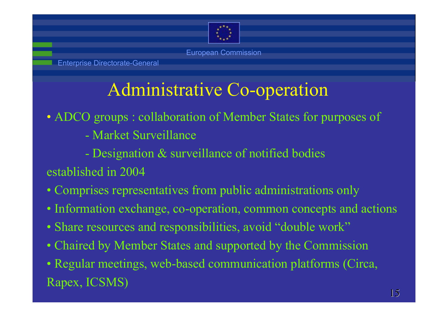

Enterprise Directorate-General

## Administrative Co-operation

- ADCO groups : collaboration of Member States for purposes of
	- Market Surveillance
	- $\mathcal{L}_{\mathcal{A}}$ Designation & surveillance of notified bodies
- established in 2004
- Comprises representatives from public administrations only
- Information exchange, co-operation, common concepts and actions
- Share resources and responsibilities, avoid "double work"
- Chaired by Member States and supported by the Commission
- Regular meetings, web-based communication platforms (Circa, Rapex, ICSMS)